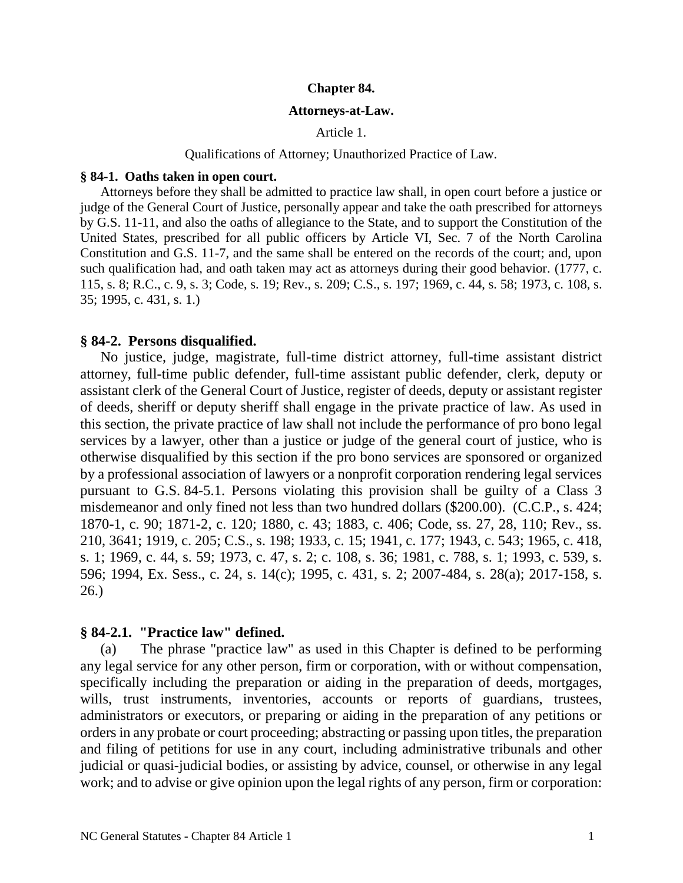## **Chapter 84.**

#### **Attorneys-at-Law.**

#### Article 1.

#### Qualifications of Attorney; Unauthorized Practice of Law.

#### **§ 84-1. Oaths taken in open court.**

Attorneys before they shall be admitted to practice law shall, in open court before a justice or judge of the General Court of Justice, personally appear and take the oath prescribed for attorneys by G.S. 11-11, and also the oaths of allegiance to the State, and to support the Constitution of the United States, prescribed for all public officers by Article VI, Sec. 7 of the North Carolina Constitution and G.S. 11-7, and the same shall be entered on the records of the court; and, upon such qualification had, and oath taken may act as attorneys during their good behavior. (1777, c. 115, s. 8; R.C., c. 9, s. 3; Code, s. 19; Rev., s. 209; C.S., s. 197; 1969, c. 44, s. 58; 1973, c. 108, s. 35; 1995, c. 431, s. 1.)

## **§ 84-2. Persons disqualified.**

No justice, judge, magistrate, full-time district attorney, full-time assistant district attorney, full-time public defender, full-time assistant public defender, clerk, deputy or assistant clerk of the General Court of Justice, register of deeds, deputy or assistant register of deeds, sheriff or deputy sheriff shall engage in the private practice of law. As used in this section, the private practice of law shall not include the performance of pro bono legal services by a lawyer, other than a justice or judge of the general court of justice, who is otherwise disqualified by this section if the pro bono services are sponsored or organized by a professional association of lawyers or a nonprofit corporation rendering legal services pursuant to G.S. 84-5.1. Persons violating this provision shall be guilty of a Class 3 misdemeanor and only fined not less than two hundred dollars (\$200.00). (C.C.P., s. 424; 1870-1, c. 90; 1871-2, c. 120; 1880, c. 43; 1883, c. 406; Code, ss. 27, 28, 110; Rev., ss. 210, 3641; 1919, c. 205; C.S., s. 198; 1933, c. 15; 1941, c. 177; 1943, c. 543; 1965, c. 418, s. 1; 1969, c. 44, s. 59; 1973, c. 47, s. 2; c. 108, s. 36; 1981, c. 788, s. 1; 1993, c. 539, s. 596; 1994, Ex. Sess., c. 24, s. 14(c); 1995, c. 431, s. 2; 2007-484, s. 28(a); 2017-158, s. 26.)

# **§ 84-2.1. "Practice law" defined.**

(a) The phrase "practice law" as used in this Chapter is defined to be performing any legal service for any other person, firm or corporation, with or without compensation, specifically including the preparation or aiding in the preparation of deeds, mortgages, wills, trust instruments, inventories, accounts or reports of guardians, trustees, administrators or executors, or preparing or aiding in the preparation of any petitions or orders in any probate or court proceeding; abstracting or passing upon titles, the preparation and filing of petitions for use in any court, including administrative tribunals and other judicial or quasi-judicial bodies, or assisting by advice, counsel, or otherwise in any legal work; and to advise or give opinion upon the legal rights of any person, firm or corporation: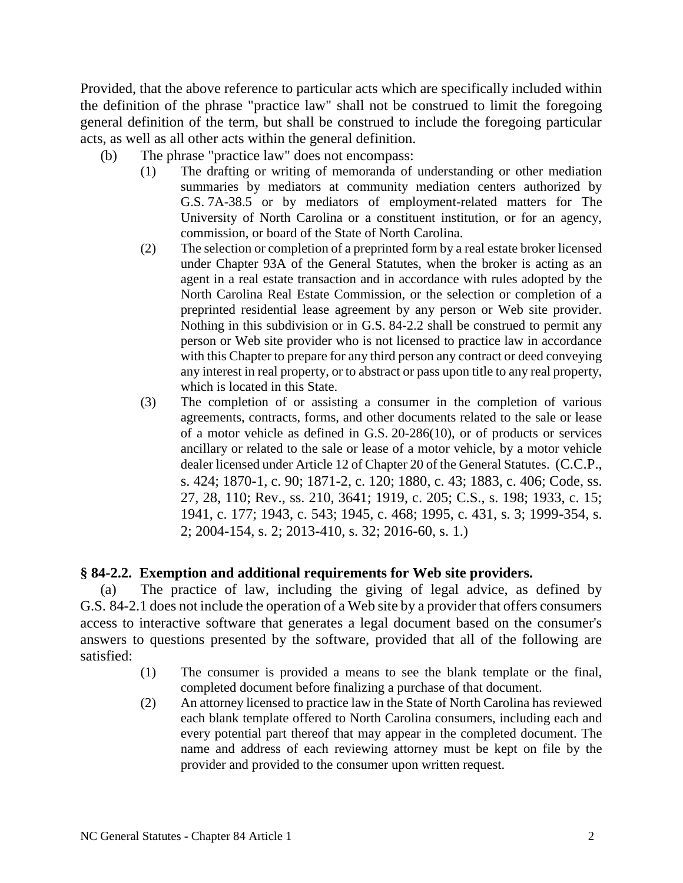Provided, that the above reference to particular acts which are specifically included within the definition of the phrase "practice law" shall not be construed to limit the foregoing general definition of the term, but shall be construed to include the foregoing particular acts, as well as all other acts within the general definition.

- (b) The phrase "practice law" does not encompass:
	- (1) The drafting or writing of memoranda of understanding or other mediation summaries by mediators at community mediation centers authorized by G.S. 7A-38.5 or by mediators of employment-related matters for The University of North Carolina or a constituent institution, or for an agency, commission, or board of the State of North Carolina.
	- (2) The selection or completion of a preprinted form by a real estate broker licensed under Chapter 93A of the General Statutes, when the broker is acting as an agent in a real estate transaction and in accordance with rules adopted by the North Carolina Real Estate Commission, or the selection or completion of a preprinted residential lease agreement by any person or Web site provider. Nothing in this subdivision or in G.S. 84-2.2 shall be construed to permit any person or Web site provider who is not licensed to practice law in accordance with this Chapter to prepare for any third person any contract or deed conveying any interest in real property, or to abstract or pass upon title to any real property, which is located in this State.
	- (3) The completion of or assisting a consumer in the completion of various agreements, contracts, forms, and other documents related to the sale or lease of a motor vehicle as defined in G.S. 20-286(10), or of products or services ancillary or related to the sale or lease of a motor vehicle, by a motor vehicle dealer licensed under Article 12 of Chapter 20 of the General Statutes. (C.C.P., s. 424; 1870-1, c. 90; 1871-2, c. 120; 1880, c. 43; 1883, c. 406; Code, ss. 27, 28, 110; Rev., ss. 210, 3641; 1919, c. 205; C.S., s. 198; 1933, c. 15; 1941, c. 177; 1943, c. 543; 1945, c. 468; 1995, c. 431, s. 3; 1999-354, s. 2; 2004-154, s. 2; 2013-410, s. 32; 2016-60, s. 1.)

# **§ 84-2.2. Exemption and additional requirements for Web site providers.**

(a) The practice of law, including the giving of legal advice, as defined by G.S. 84-2.1 does not include the operation of a Web site by a provider that offers consumers access to interactive software that generates a legal document based on the consumer's answers to questions presented by the software, provided that all of the following are satisfied:

- (1) The consumer is provided a means to see the blank template or the final, completed document before finalizing a purchase of that document.
- (2) An attorney licensed to practice law in the State of North Carolina has reviewed each blank template offered to North Carolina consumers, including each and every potential part thereof that may appear in the completed document. The name and address of each reviewing attorney must be kept on file by the provider and provided to the consumer upon written request.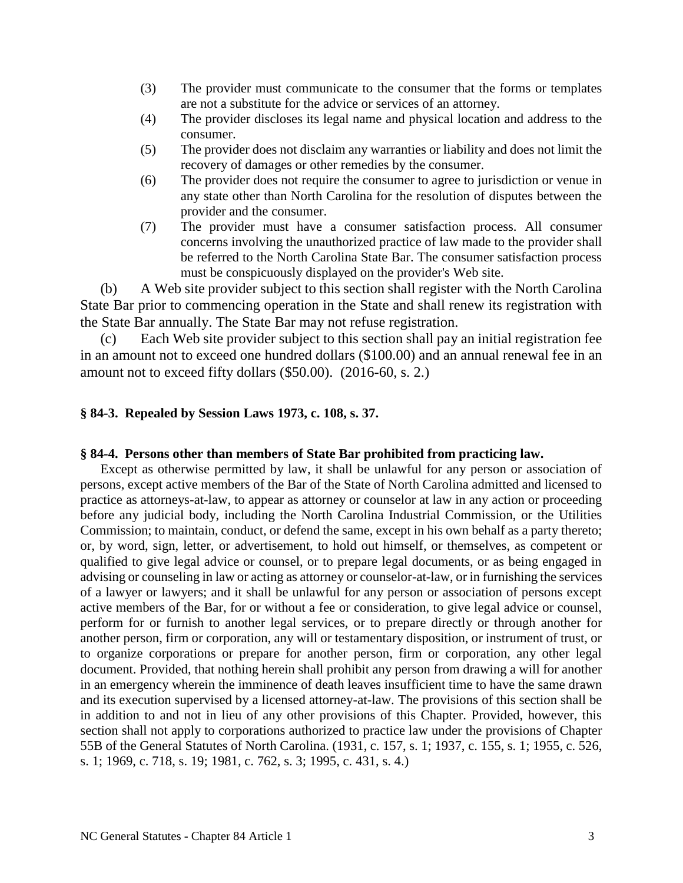- (3) The provider must communicate to the consumer that the forms or templates are not a substitute for the advice or services of an attorney.
- (4) The provider discloses its legal name and physical location and address to the consumer.
- (5) The provider does not disclaim any warranties or liability and does not limit the recovery of damages or other remedies by the consumer.
- (6) The provider does not require the consumer to agree to jurisdiction or venue in any state other than North Carolina for the resolution of disputes between the provider and the consumer.
- (7) The provider must have a consumer satisfaction process. All consumer concerns involving the unauthorized practice of law made to the provider shall be referred to the North Carolina State Bar. The consumer satisfaction process must be conspicuously displayed on the provider's Web site.

(b) A Web site provider subject to this section shall register with the North Carolina State Bar prior to commencing operation in the State and shall renew its registration with the State Bar annually. The State Bar may not refuse registration.

(c) Each Web site provider subject to this section shall pay an initial registration fee in an amount not to exceed one hundred dollars (\$100.00) and an annual renewal fee in an amount not to exceed fifty dollars (\$50.00). (2016-60, s. 2.)

# **§ 84-3. Repealed by Session Laws 1973, c. 108, s. 37.**

## **§ 84-4. Persons other than members of State Bar prohibited from practicing law.**

Except as otherwise permitted by law, it shall be unlawful for any person or association of persons, except active members of the Bar of the State of North Carolina admitted and licensed to practice as attorneys-at-law, to appear as attorney or counselor at law in any action or proceeding before any judicial body, including the North Carolina Industrial Commission, or the Utilities Commission; to maintain, conduct, or defend the same, except in his own behalf as a party thereto; or, by word, sign, letter, or advertisement, to hold out himself, or themselves, as competent or qualified to give legal advice or counsel, or to prepare legal documents, or as being engaged in advising or counseling in law or acting as attorney or counselor-at-law, or in furnishing the services of a lawyer or lawyers; and it shall be unlawful for any person or association of persons except active members of the Bar, for or without a fee or consideration, to give legal advice or counsel, perform for or furnish to another legal services, or to prepare directly or through another for another person, firm or corporation, any will or testamentary disposition, or instrument of trust, or to organize corporations or prepare for another person, firm or corporation, any other legal document. Provided, that nothing herein shall prohibit any person from drawing a will for another in an emergency wherein the imminence of death leaves insufficient time to have the same drawn and its execution supervised by a licensed attorney-at-law. The provisions of this section shall be in addition to and not in lieu of any other provisions of this Chapter. Provided, however, this section shall not apply to corporations authorized to practice law under the provisions of Chapter 55B of the General Statutes of North Carolina. (1931, c. 157, s. 1; 1937, c. 155, s. 1; 1955, c. 526, s. 1; 1969, c. 718, s. 19; 1981, c. 762, s. 3; 1995, c. 431, s. 4.)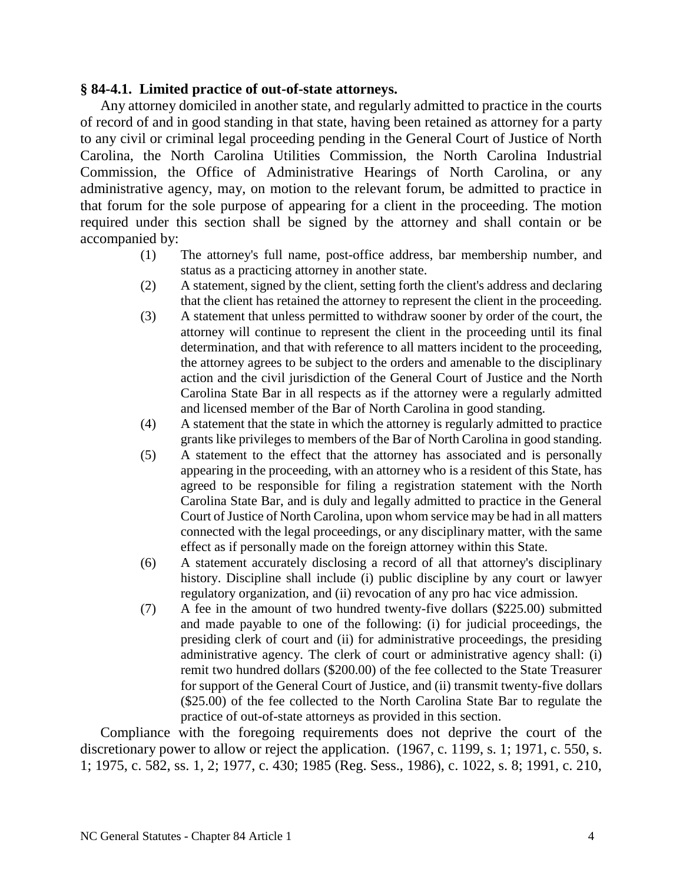# **§ 84-4.1. Limited practice of out-of-state attorneys.**

Any attorney domiciled in another state, and regularly admitted to practice in the courts of record of and in good standing in that state, having been retained as attorney for a party to any civil or criminal legal proceeding pending in the General Court of Justice of North Carolina, the North Carolina Utilities Commission, the North Carolina Industrial Commission, the Office of Administrative Hearings of North Carolina, or any administrative agency, may, on motion to the relevant forum, be admitted to practice in that forum for the sole purpose of appearing for a client in the proceeding. The motion required under this section shall be signed by the attorney and shall contain or be accompanied by:

- (1) The attorney's full name, post-office address, bar membership number, and status as a practicing attorney in another state.
- (2) A statement, signed by the client, setting forth the client's address and declaring that the client has retained the attorney to represent the client in the proceeding.
- (3) A statement that unless permitted to withdraw sooner by order of the court, the attorney will continue to represent the client in the proceeding until its final determination, and that with reference to all matters incident to the proceeding, the attorney agrees to be subject to the orders and amenable to the disciplinary action and the civil jurisdiction of the General Court of Justice and the North Carolina State Bar in all respects as if the attorney were a regularly admitted and licensed member of the Bar of North Carolina in good standing.
- (4) A statement that the state in which the attorney is regularly admitted to practice grants like privileges to members of the Bar of North Carolina in good standing.
- (5) A statement to the effect that the attorney has associated and is personally appearing in the proceeding, with an attorney who is a resident of this State, has agreed to be responsible for filing a registration statement with the North Carolina State Bar, and is duly and legally admitted to practice in the General Court of Justice of North Carolina, upon whom service may be had in all matters connected with the legal proceedings, or any disciplinary matter, with the same effect as if personally made on the foreign attorney within this State.
- (6) A statement accurately disclosing a record of all that attorney's disciplinary history. Discipline shall include (i) public discipline by any court or lawyer regulatory organization, and (ii) revocation of any pro hac vice admission.
- (7) A fee in the amount of two hundred twenty-five dollars (\$225.00) submitted and made payable to one of the following: (i) for judicial proceedings, the presiding clerk of court and (ii) for administrative proceedings, the presiding administrative agency. The clerk of court or administrative agency shall: (i) remit two hundred dollars (\$200.00) of the fee collected to the State Treasurer for support of the General Court of Justice, and (ii) transmit twenty-five dollars (\$25.00) of the fee collected to the North Carolina State Bar to regulate the practice of out-of-state attorneys as provided in this section.

Compliance with the foregoing requirements does not deprive the court of the discretionary power to allow or reject the application. (1967, c. 1199, s. 1; 1971, c. 550, s. 1; 1975, c. 582, ss. 1, 2; 1977, c. 430; 1985 (Reg. Sess., 1986), c. 1022, s. 8; 1991, c. 210,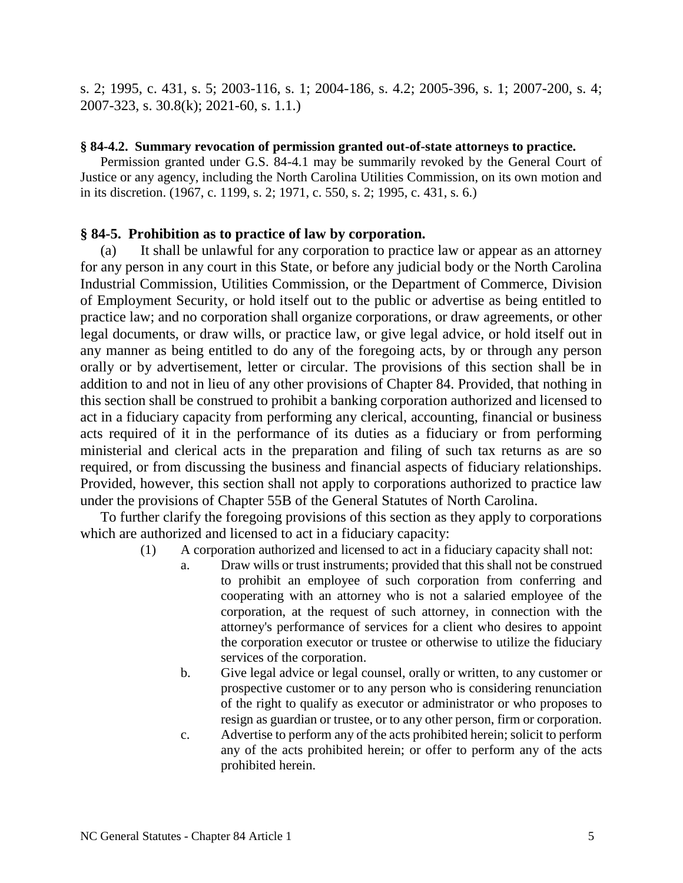s. 2; 1995, c. 431, s. 5; 2003-116, s. 1; 2004-186, s. 4.2; 2005-396, s. 1; 2007-200, s. 4; 2007-323, s. 30.8(k); 2021-60, s. 1.1.)

## **§ 84-4.2. Summary revocation of permission granted out-of-state attorneys to practice.**

Permission granted under G.S. 84-4.1 may be summarily revoked by the General Court of Justice or any agency, including the North Carolina Utilities Commission, on its own motion and in its discretion. (1967, c. 1199, s. 2; 1971, c. 550, s. 2; 1995, c. 431, s. 6.)

# **§ 84-5. Prohibition as to practice of law by corporation.**

(a) It shall be unlawful for any corporation to practice law or appear as an attorney for any person in any court in this State, or before any judicial body or the North Carolina Industrial Commission, Utilities Commission, or the Department of Commerce, Division of Employment Security, or hold itself out to the public or advertise as being entitled to practice law; and no corporation shall organize corporations, or draw agreements, or other legal documents, or draw wills, or practice law, or give legal advice, or hold itself out in any manner as being entitled to do any of the foregoing acts, by or through any person orally or by advertisement, letter or circular. The provisions of this section shall be in addition to and not in lieu of any other provisions of Chapter 84. Provided, that nothing in this section shall be construed to prohibit a banking corporation authorized and licensed to act in a fiduciary capacity from performing any clerical, accounting, financial or business acts required of it in the performance of its duties as a fiduciary or from performing ministerial and clerical acts in the preparation and filing of such tax returns as are so required, or from discussing the business and financial aspects of fiduciary relationships. Provided, however, this section shall not apply to corporations authorized to practice law under the provisions of Chapter 55B of the General Statutes of North Carolina.

To further clarify the foregoing provisions of this section as they apply to corporations which are authorized and licensed to act in a fiduciary capacity:

- (1) A corporation authorized and licensed to act in a fiduciary capacity shall not:
	- a. Draw wills or trust instruments; provided that this shall not be construed to prohibit an employee of such corporation from conferring and cooperating with an attorney who is not a salaried employee of the corporation, at the request of such attorney, in connection with the attorney's performance of services for a client who desires to appoint the corporation executor or trustee or otherwise to utilize the fiduciary services of the corporation.
	- b. Give legal advice or legal counsel, orally or written, to any customer or prospective customer or to any person who is considering renunciation of the right to qualify as executor or administrator or who proposes to resign as guardian or trustee, or to any other person, firm or corporation.
	- c. Advertise to perform any of the acts prohibited herein; solicit to perform any of the acts prohibited herein; or offer to perform any of the acts prohibited herein.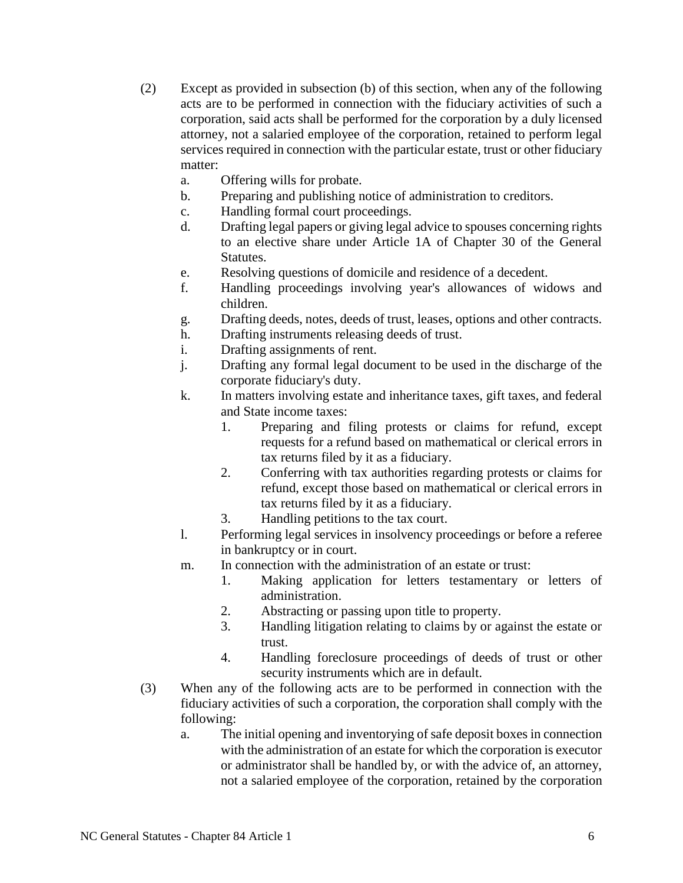- (2) Except as provided in subsection (b) of this section, when any of the following acts are to be performed in connection with the fiduciary activities of such a corporation, said acts shall be performed for the corporation by a duly licensed attorney, not a salaried employee of the corporation, retained to perform legal services required in connection with the particular estate, trust or other fiduciary matter:
	- a. Offering wills for probate.
	- b. Preparing and publishing notice of administration to creditors.
	- c. Handling formal court proceedings.
	- d. Drafting legal papers or giving legal advice to spouses concerning rights to an elective share under Article 1A of Chapter 30 of the General Statutes.
	- e. Resolving questions of domicile and residence of a decedent.
	- f. Handling proceedings involving year's allowances of widows and children.
	- g. Drafting deeds, notes, deeds of trust, leases, options and other contracts.
	- h. Drafting instruments releasing deeds of trust.
	- i. Drafting assignments of rent.
	- j. Drafting any formal legal document to be used in the discharge of the corporate fiduciary's duty.
	- k. In matters involving estate and inheritance taxes, gift taxes, and federal and State income taxes:
		- 1. Preparing and filing protests or claims for refund, except requests for a refund based on mathematical or clerical errors in tax returns filed by it as a fiduciary.
		- 2. Conferring with tax authorities regarding protests or claims for refund, except those based on mathematical or clerical errors in tax returns filed by it as a fiduciary.
		- 3. Handling petitions to the tax court.
	- l. Performing legal services in insolvency proceedings or before a referee in bankruptcy or in court.
	- m. In connection with the administration of an estate or trust:
		- 1. Making application for letters testamentary or letters of administration.
		- 2. Abstracting or passing upon title to property.
		- 3. Handling litigation relating to claims by or against the estate or trust.
		- 4. Handling foreclosure proceedings of deeds of trust or other security instruments which are in default.
- (3) When any of the following acts are to be performed in connection with the fiduciary activities of such a corporation, the corporation shall comply with the following:
	- a. The initial opening and inventorying of safe deposit boxes in connection with the administration of an estate for which the corporation is executor or administrator shall be handled by, or with the advice of, an attorney, not a salaried employee of the corporation, retained by the corporation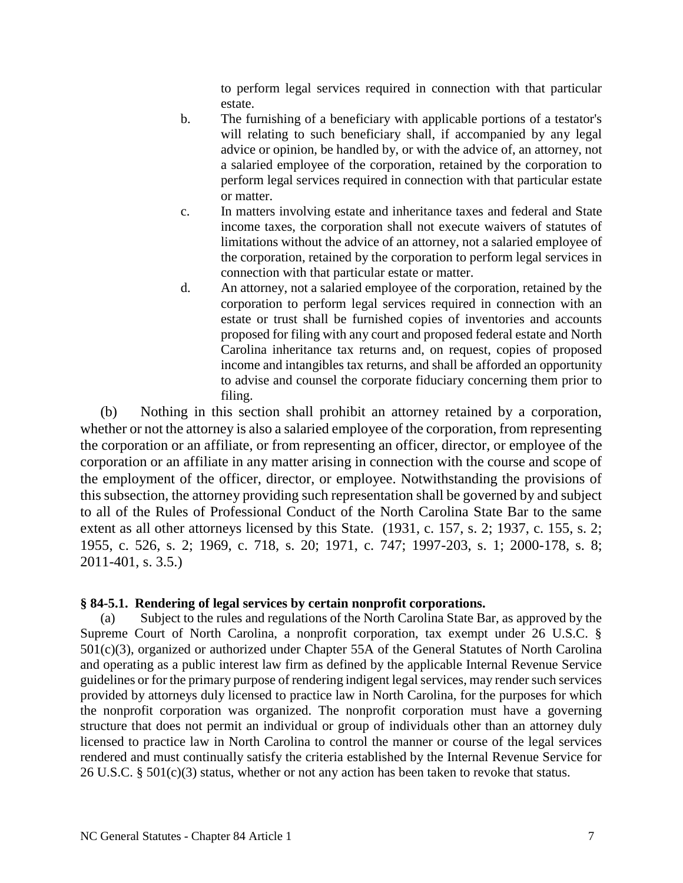to perform legal services required in connection with that particular estate.

- b. The furnishing of a beneficiary with applicable portions of a testator's will relating to such beneficiary shall, if accompanied by any legal advice or opinion, be handled by, or with the advice of, an attorney, not a salaried employee of the corporation, retained by the corporation to perform legal services required in connection with that particular estate or matter.
- c. In matters involving estate and inheritance taxes and federal and State income taxes, the corporation shall not execute waivers of statutes of limitations without the advice of an attorney, not a salaried employee of the corporation, retained by the corporation to perform legal services in connection with that particular estate or matter.
- d. An attorney, not a salaried employee of the corporation, retained by the corporation to perform legal services required in connection with an estate or trust shall be furnished copies of inventories and accounts proposed for filing with any court and proposed federal estate and North Carolina inheritance tax returns and, on request, copies of proposed income and intangibles tax returns, and shall be afforded an opportunity to advise and counsel the corporate fiduciary concerning them prior to filing.

(b) Nothing in this section shall prohibit an attorney retained by a corporation, whether or not the attorney is also a salaried employee of the corporation, from representing the corporation or an affiliate, or from representing an officer, director, or employee of the corporation or an affiliate in any matter arising in connection with the course and scope of the employment of the officer, director, or employee. Notwithstanding the provisions of this subsection, the attorney providing such representation shall be governed by and subject to all of the Rules of Professional Conduct of the North Carolina State Bar to the same extent as all other attorneys licensed by this State. (1931, c. 157, s. 2; 1937, c. 155, s. 2; 1955, c. 526, s. 2; 1969, c. 718, s. 20; 1971, c. 747; 1997-203, s. 1; 2000-178, s. 8; 2011-401, s. 3.5.)

# **§ 84-5.1. Rendering of legal services by certain nonprofit corporations.**

(a) Subject to the rules and regulations of the North Carolina State Bar, as approved by the Supreme Court of North Carolina, a nonprofit corporation, tax exempt under 26 U.S.C. § 501(c)(3), organized or authorized under Chapter 55A of the General Statutes of North Carolina and operating as a public interest law firm as defined by the applicable Internal Revenue Service guidelines or for the primary purpose of rendering indigent legal services, may render such services provided by attorneys duly licensed to practice law in North Carolina, for the purposes for which the nonprofit corporation was organized. The nonprofit corporation must have a governing structure that does not permit an individual or group of individuals other than an attorney duly licensed to practice law in North Carolina to control the manner or course of the legal services rendered and must continually satisfy the criteria established by the Internal Revenue Service for 26 U.S.C. § 501(c)(3) status, whether or not any action has been taken to revoke that status.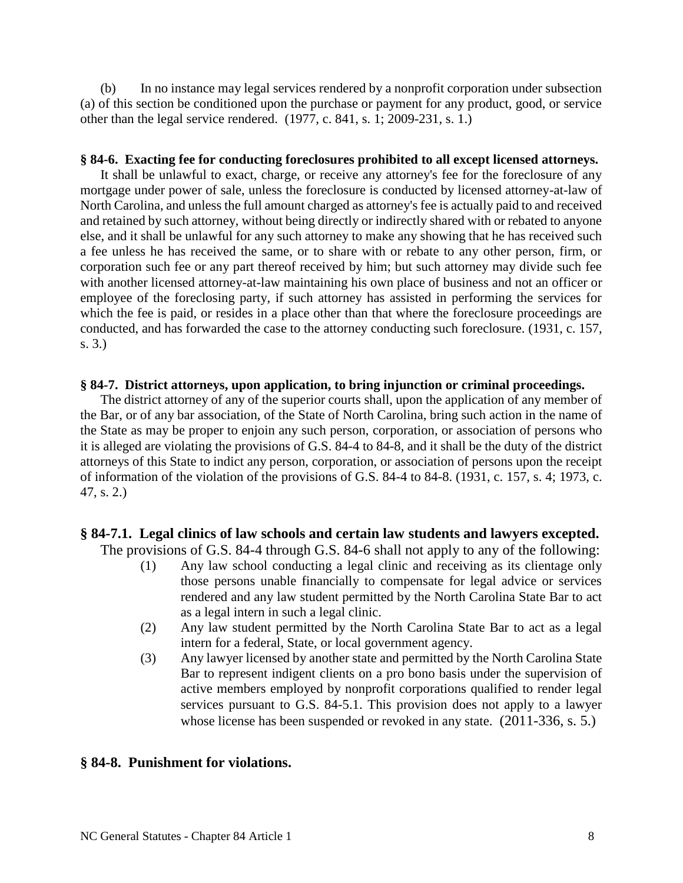(b) In no instance may legal services rendered by a nonprofit corporation under subsection (a) of this section be conditioned upon the purchase or payment for any product, good, or service other than the legal service rendered. (1977, c. 841, s. 1; 2009-231, s. 1.)

## **§ 84-6. Exacting fee for conducting foreclosures prohibited to all except licensed attorneys.**

It shall be unlawful to exact, charge, or receive any attorney's fee for the foreclosure of any mortgage under power of sale, unless the foreclosure is conducted by licensed attorney-at-law of North Carolina, and unless the full amount charged as attorney's fee is actually paid to and received and retained by such attorney, without being directly or indirectly shared with or rebated to anyone else, and it shall be unlawful for any such attorney to make any showing that he has received such a fee unless he has received the same, or to share with or rebate to any other person, firm, or corporation such fee or any part thereof received by him; but such attorney may divide such fee with another licensed attorney-at-law maintaining his own place of business and not an officer or employee of the foreclosing party, if such attorney has assisted in performing the services for which the fee is paid, or resides in a place other than that where the foreclosure proceedings are conducted, and has forwarded the case to the attorney conducting such foreclosure. (1931, c. 157, s. 3.)

## **§ 84-7. District attorneys, upon application, to bring injunction or criminal proceedings.**

The district attorney of any of the superior courts shall, upon the application of any member of the Bar, or of any bar association, of the State of North Carolina, bring such action in the name of the State as may be proper to enjoin any such person, corporation, or association of persons who it is alleged are violating the provisions of G.S. 84-4 to 84-8, and it shall be the duty of the district attorneys of this State to indict any person, corporation, or association of persons upon the receipt of information of the violation of the provisions of G.S. 84-4 to 84-8. (1931, c. 157, s. 4; 1973, c. 47, s. 2.)

# **§ 84-7.1. Legal clinics of law schools and certain law students and lawyers excepted.**

The provisions of G.S. 84-4 through G.S. 84-6 shall not apply to any of the following:

- (1) Any law school conducting a legal clinic and receiving as its clientage only those persons unable financially to compensate for legal advice or services rendered and any law student permitted by the North Carolina State Bar to act as a legal intern in such a legal clinic.
- (2) Any law student permitted by the North Carolina State Bar to act as a legal intern for a federal, State, or local government agency.
- (3) Any lawyer licensed by another state and permitted by the North Carolina State Bar to represent indigent clients on a pro bono basis under the supervision of active members employed by nonprofit corporations qualified to render legal services pursuant to G.S. 84-5.1. This provision does not apply to a lawyer whose license has been suspended or revoked in any state. (2011-336, s. 5.)

# **§ 84-8. Punishment for violations.**